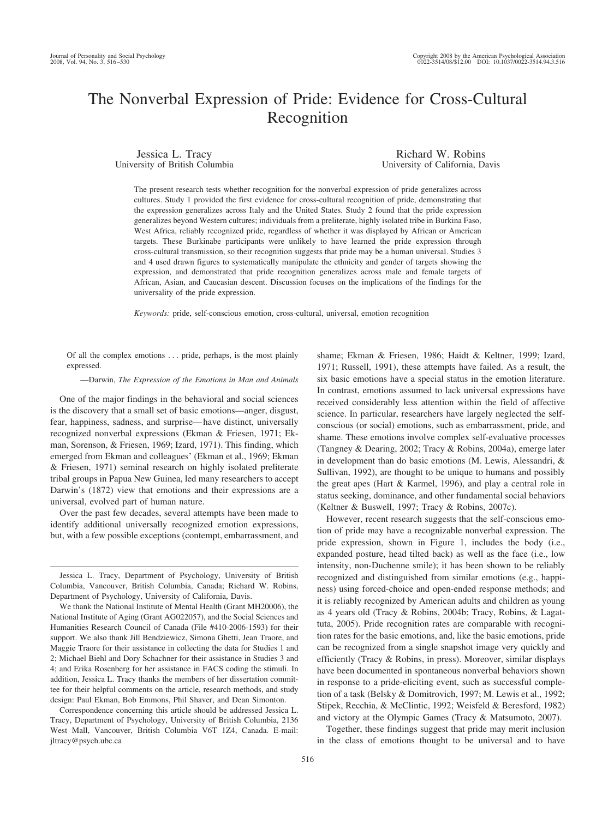# The Nonverbal Expression of Pride: Evidence for Cross-Cultural Recognition

Jessica L. Tracy University of British Columbia

Richard W. Robins University of California, Davis

The present research tests whether recognition for the nonverbal expression of pride generalizes across cultures. Study 1 provided the first evidence for cross-cultural recognition of pride, demonstrating that the expression generalizes across Italy and the United States. Study 2 found that the pride expression generalizes beyond Western cultures; individuals from a preliterate, highly isolated tribe in Burkina Faso, West Africa, reliably recognized pride, regardless of whether it was displayed by African or American targets. These Burkinabe participants were unlikely to have learned the pride expression through cross-cultural transmission, so their recognition suggests that pride may be a human universal. Studies 3 and 4 used drawn figures to systematically manipulate the ethnicity and gender of targets showing the expression, and demonstrated that pride recognition generalizes across male and female targets of African, Asian, and Caucasian descent. Discussion focuses on the implications of the findings for the universality of the pride expression.

*Keywords:* pride, self-conscious emotion, cross-cultural, universal, emotion recognition

Of all the complex emotions . . . pride, perhaps, is the most plainly expressed.

—Darwin, *The Expression of the Emotions in Man and Animals*

One of the major findings in the behavioral and social sciences is the discovery that a small set of basic emotions—anger, disgust, fear, happiness, sadness, and surprise— have distinct, universally recognized nonverbal expressions (Ekman & Friesen, 1971; Ekman, Sorenson, & Friesen, 1969; Izard, 1971). This finding, which emerged from Ekman and colleagues' (Ekman et al., 1969; Ekman & Friesen, 1971) seminal research on highly isolated preliterate tribal groups in Papua New Guinea, led many researchers to accept Darwin's (1872) view that emotions and their expressions are a universal, evolved part of human nature.

Over the past few decades, several attempts have been made to identify additional universally recognized emotion expressions, but, with a few possible exceptions (contempt, embarrassment, and

Correspondence concerning this article should be addressed Jessica L. Tracy, Department of Psychology, University of British Columbia, 2136 West Mall, Vancouver, British Columbia V6T 1Z4, Canada. E-mail: jltracy@psych.ubc.ca

shame; Ekman & Friesen, 1986; Haidt & Keltner, 1999; Izard, 1971; Russell, 1991), these attempts have failed. As a result, the six basic emotions have a special status in the emotion literature. In contrast, emotions assumed to lack universal expressions have received considerably less attention within the field of affective science. In particular, researchers have largely neglected the selfconscious (or social) emotions, such as embarrassment, pride, and shame. These emotions involve complex self-evaluative processes (Tangney & Dearing, 2002; Tracy & Robins, 2004a), emerge later in development than do basic emotions (M. Lewis, Alessandri, & Sullivan, 1992), are thought to be unique to humans and possibly the great apes (Hart & Karmel, 1996), and play a central role in status seeking, dominance, and other fundamental social behaviors (Keltner & Buswell, 1997; Tracy & Robins, 2007c).

However, recent research suggests that the self-conscious emotion of pride may have a recognizable nonverbal expression. The pride expression, shown in Figure 1, includes the body (i.e., expanded posture, head tilted back) as well as the face (i.e., low intensity, non-Duchenne smile); it has been shown to be reliably recognized and distinguished from similar emotions (e.g., happiness) using forced-choice and open-ended response methods; and it is reliably recognized by American adults and children as young as 4 years old (Tracy & Robins, 2004b; Tracy, Robins, & Lagattuta, 2005). Pride recognition rates are comparable with recognition rates for the basic emotions, and, like the basic emotions, pride can be recognized from a single snapshot image very quickly and efficiently (Tracy & Robins, in press). Moreover, similar displays have been documented in spontaneous nonverbal behaviors shown in response to a pride-eliciting event, such as successful completion of a task (Belsky & Domitrovich, 1997; M. Lewis et al., 1992; Stipek, Recchia, & McClintic, 1992; Weisfeld & Beresford, 1982) and victory at the Olympic Games (Tracy & Matsumoto, 2007).

Together, these findings suggest that pride may merit inclusion in the class of emotions thought to be universal and to have

Jessica L. Tracy, Department of Psychology, University of British Columbia, Vancouver, British Columbia, Canada; Richard W. Robins, Department of Psychology, University of California, Davis.

We thank the National Institute of Mental Health (Grant MH20006), the National Institute of Aging (Grant AG022057), and the Social Sciences and Humanities Research Council of Canada (File #410-2006-1593) for their support. We also thank Jill Bendziewicz, Simona Ghetti, Jean Traore, and Maggie Traore for their assistance in collecting the data for Studies 1 and 2; Michael Biehl and Dory Schachner for their assistance in Studies 3 and 4; and Erika Rosenberg for her assistance in FACS coding the stimuli. In addition, Jessica L. Tracy thanks the members of her dissertation committee for their helpful comments on the article, research methods, and study design: Paul Ekman, Bob Emmons, Phil Shaver, and Dean Simonton.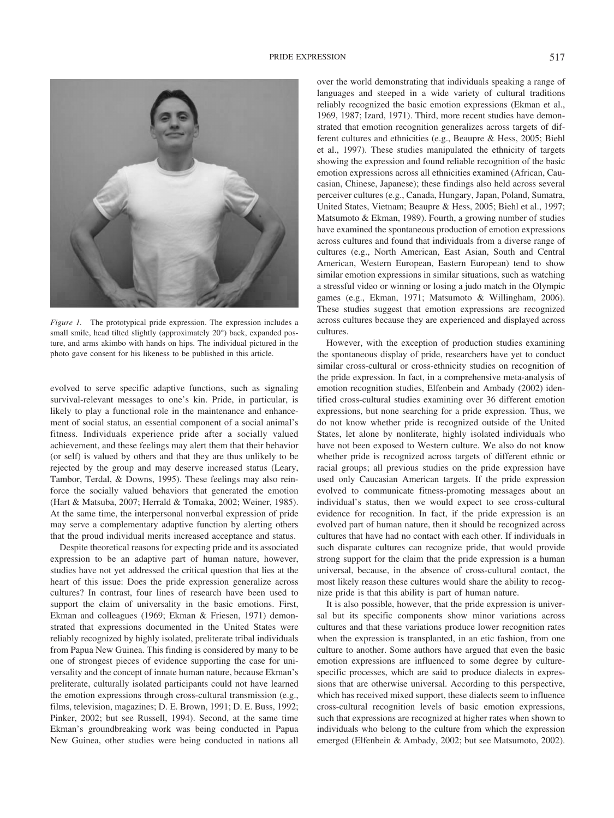

*Figure 1.* The prototypical pride expression. The expression includes a small smile, head tilted slightly (approximately 20<sup>o</sup>) back, expanded posture, and arms akimbo with hands on hips. The individual pictured in the photo gave consent for his likeness to be published in this article.

evolved to serve specific adaptive functions, such as signaling survival-relevant messages to one's kin. Pride, in particular, is likely to play a functional role in the maintenance and enhancement of social status, an essential component of a social animal's fitness. Individuals experience pride after a socially valued achievement, and these feelings may alert them that their behavior (or self) is valued by others and that they are thus unlikely to be rejected by the group and may deserve increased status (Leary, Tambor, Terdal, & Downs, 1995). These feelings may also reinforce the socially valued behaviors that generated the emotion (Hart & Matsuba, 2007; Herrald & Tomaka, 2002; Weiner, 1985). At the same time, the interpersonal nonverbal expression of pride may serve a complementary adaptive function by alerting others that the proud individual merits increased acceptance and status.

Despite theoretical reasons for expecting pride and its associated expression to be an adaptive part of human nature, however, studies have not yet addressed the critical question that lies at the heart of this issue: Does the pride expression generalize across cultures? In contrast, four lines of research have been used to support the claim of universality in the basic emotions. First, Ekman and colleagues (1969; Ekman & Friesen, 1971) demonstrated that expressions documented in the United States were reliably recognized by highly isolated, preliterate tribal individuals from Papua New Guinea. This finding is considered by many to be one of strongest pieces of evidence supporting the case for universality and the concept of innate human nature, because Ekman's preliterate, culturally isolated participants could not have learned the emotion expressions through cross-cultural transmission (e.g., films, television, magazines; D. E. Brown, 1991; D. E. Buss, 1992; Pinker, 2002; but see Russell, 1994). Second, at the same time Ekman's groundbreaking work was being conducted in Papua New Guinea, other studies were being conducted in nations all over the world demonstrating that individuals speaking a range of languages and steeped in a wide variety of cultural traditions reliably recognized the basic emotion expressions (Ekman et al., 1969, 1987; Izard, 1971). Third, more recent studies have demonstrated that emotion recognition generalizes across targets of different cultures and ethnicities (e.g., Beaupre & Hess, 2005; Biehl et al., 1997). These studies manipulated the ethnicity of targets showing the expression and found reliable recognition of the basic emotion expressions across all ethnicities examined (African, Caucasian, Chinese, Japanese); these findings also held across several perceiver cultures (e.g., Canada, Hungary, Japan, Poland, Sumatra, United States, Vietnam; Beaupre & Hess, 2005; Biehl et al., 1997; Matsumoto & Ekman, 1989). Fourth, a growing number of studies have examined the spontaneous production of emotion expressions across cultures and found that individuals from a diverse range of cultures (e.g., North American, East Asian, South and Central American, Western European, Eastern European) tend to show similar emotion expressions in similar situations, such as watching a stressful video or winning or losing a judo match in the Olympic games (e.g., Ekman, 1971; Matsumoto & Willingham, 2006). These studies suggest that emotion expressions are recognized across cultures because they are experienced and displayed across cultures.

However, with the exception of production studies examining the spontaneous display of pride, researchers have yet to conduct similar cross-cultural or cross-ethnicity studies on recognition of the pride expression. In fact, in a comprehensive meta-analysis of emotion recognition studies, Elfenbein and Ambady (2002) identified cross-cultural studies examining over 36 different emotion expressions, but none searching for a pride expression. Thus, we do not know whether pride is recognized outside of the United States, let alone by nonliterate, highly isolated individuals who have not been exposed to Western culture. We also do not know whether pride is recognized across targets of different ethnic or racial groups; all previous studies on the pride expression have used only Caucasian American targets. If the pride expression evolved to communicate fitness-promoting messages about an individual's status, then we would expect to see cross-cultural evidence for recognition. In fact, if the pride expression is an evolved part of human nature, then it should be recognized across cultures that have had no contact with each other. If individuals in such disparate cultures can recognize pride, that would provide strong support for the claim that the pride expression is a human universal, because, in the absence of cross-cultural contact, the most likely reason these cultures would share the ability to recognize pride is that this ability is part of human nature.

It is also possible, however, that the pride expression is universal but its specific components show minor variations across cultures and that these variations produce lower recognition rates when the expression is transplanted, in an etic fashion, from one culture to another. Some authors have argued that even the basic emotion expressions are influenced to some degree by culturespecific processes, which are said to produce dialects in expressions that are otherwise universal. According to this perspective, which has received mixed support, these dialects seem to influence cross-cultural recognition levels of basic emotion expressions, such that expressions are recognized at higher rates when shown to individuals who belong to the culture from which the expression emerged (Elfenbein & Ambady, 2002; but see Matsumoto, 2002).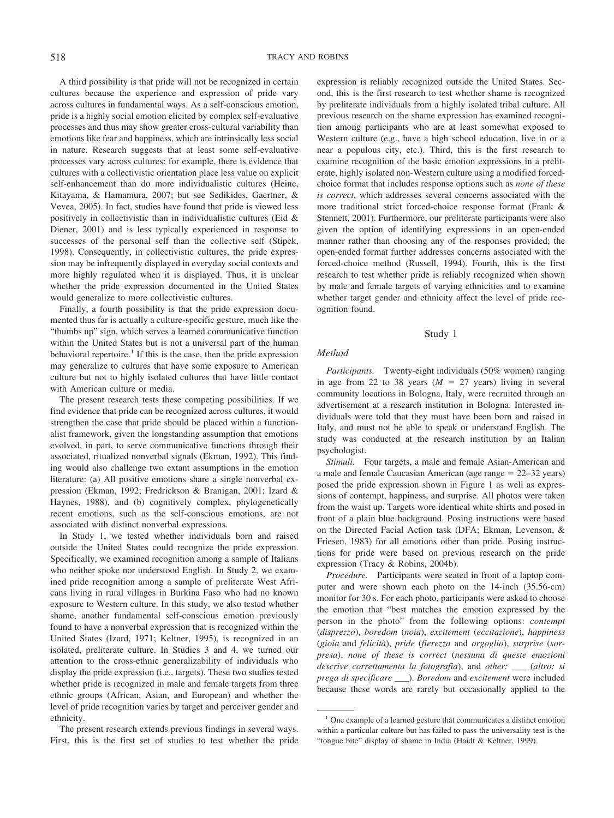A third possibility is that pride will not be recognized in certain cultures because the experience and expression of pride vary across cultures in fundamental ways. As a self-conscious emotion, pride is a highly social emotion elicited by complex self-evaluative processes and thus may show greater cross-cultural variability than emotions like fear and happiness, which are intrinsically less social in nature. Research suggests that at least some self-evaluative processes vary across cultures; for example, there is evidence that cultures with a collectivistic orientation place less value on explicit self-enhancement than do more individualistic cultures (Heine, Kitayama, & Hamamura, 2007; but see Sedikides, Gaertner, & Vevea, 2005). In fact, studies have found that pride is viewed less positively in collectivistic than in individualistic cultures (Eid & Diener, 2001) and is less typically experienced in response to successes of the personal self than the collective self (Stipek, 1998). Consequently, in collectivistic cultures, the pride expression may be infrequently displayed in everyday social contexts and more highly regulated when it is displayed. Thus, it is unclear whether the pride expression documented in the United States would generalize to more collectivistic cultures.

Finally, a fourth possibility is that the pride expression documented thus far is actually a culture-specific gesture, much like the "thumbs up" sign, which serves a learned communicative function within the United States but is not a universal part of the human behavioral repertoire.<sup>1</sup> If this is the case, then the pride expression may generalize to cultures that have some exposure to American culture but not to highly isolated cultures that have little contact with American culture or media.

The present research tests these competing possibilities. If we find evidence that pride can be recognized across cultures, it would strengthen the case that pride should be placed within a functionalist framework, given the longstanding assumption that emotions evolved, in part, to serve communicative functions through their associated, ritualized nonverbal signals (Ekman, 1992). This finding would also challenge two extant assumptions in the emotion literature: (a) All positive emotions share a single nonverbal expression (Ekman, 1992; Fredrickson & Branigan, 2001; Izard & Haynes, 1988), and (b) cognitively complex, phylogenetically recent emotions, such as the self-conscious emotions, are not associated with distinct nonverbal expressions.

In Study 1, we tested whether individuals born and raised outside the United States could recognize the pride expression. Specifically, we examined recognition among a sample of Italians who neither spoke nor understood English. In Study 2, we examined pride recognition among a sample of preliterate West Africans living in rural villages in Burkina Faso who had no known exposure to Western culture. In this study, we also tested whether shame, another fundamental self-conscious emotion previously found to have a nonverbal expression that is recognized within the United States (Izard, 1971; Keltner, 1995), is recognized in an isolated, preliterate culture. In Studies 3 and 4, we turned our attention to the cross-ethnic generalizability of individuals who display the pride expression (i.e., targets). These two studies tested whether pride is recognized in male and female targets from three ethnic groups (African, Asian, and European) and whether the level of pride recognition varies by target and perceiver gender and ethnicity.

The present research extends previous findings in several ways. First, this is the first set of studies to test whether the pride expression is reliably recognized outside the United States. Second, this is the first research to test whether shame is recognized by preliterate individuals from a highly isolated tribal culture. All previous research on the shame expression has examined recognition among participants who are at least somewhat exposed to Western culture (e.g., have a high school education, live in or a near a populous city, etc.). Third, this is the first research to examine recognition of the basic emotion expressions in a preliterate, highly isolated non-Western culture using a modified forcedchoice format that includes response options such as *none of these is correct*, which addresses several concerns associated with the more traditional strict forced-choice response format (Frank & Stennett, 2001). Furthermore, our preliterate participants were also given the option of identifying expressions in an open-ended manner rather than choosing any of the responses provided; the open-ended format further addresses concerns associated with the forced-choice method (Russell, 1994). Fourth, this is the first research to test whether pride is reliably recognized when shown by male and female targets of varying ethnicities and to examine whether target gender and ethnicity affect the level of pride recognition found.

#### Study 1

#### *Method*

*Participants.* Twenty-eight individuals (50% women) ranging in age from 22 to 38 years  $(M = 27$  years) living in several community locations in Bologna, Italy, were recruited through an advertisement at a research institution in Bologna. Interested individuals were told that they must have been born and raised in Italy, and must not be able to speak or understand English. The study was conducted at the research institution by an Italian psychologist.

*Stimuli.* Four targets, a male and female Asian-American and a male and female Caucasian American (age range  $= 22 - 32$  years) posed the pride expression shown in Figure 1 as well as expressions of contempt, happiness, and surprise. All photos were taken from the waist up. Targets wore identical white shirts and posed in front of a plain blue background. Posing instructions were based on the Directed Facial Action task (DFA; Ekman, Levenson, & Friesen, 1983) for all emotions other than pride. Posing instructions for pride were based on previous research on the pride expression (Tracy & Robins, 2004b).

*Procedure.* Participants were seated in front of a laptop computer and were shown each photo on the 14-inch (35.56-cm) monitor for 30 s. For each photo, participants were asked to choose the emotion that "best matches the emotion expressed by the person in the photo" from the following options: *contempt* (*disprezzo*), *boredom* (*noia*), *excitement* (*eccitazione*), *happiness* (*gioia* and *felicita`*), *pride* (*fierezza* and *orgoglio*), *surprise* (*sorpresa*), *none of these is correct* (*nessuna di queste emozioni descrive correttamenta la fotografia*), and *other:* \_\_\_ (*altro: si prega di specificare* \_\_\_). *Boredom* and *excitement* were included because these words are rarely but occasionally applied to the

<sup>1</sup> One example of a learned gesture that communicates a distinct emotion within a particular culture but has failed to pass the universality test is the "tongue bite" display of shame in India (Haidt & Keltner, 1999).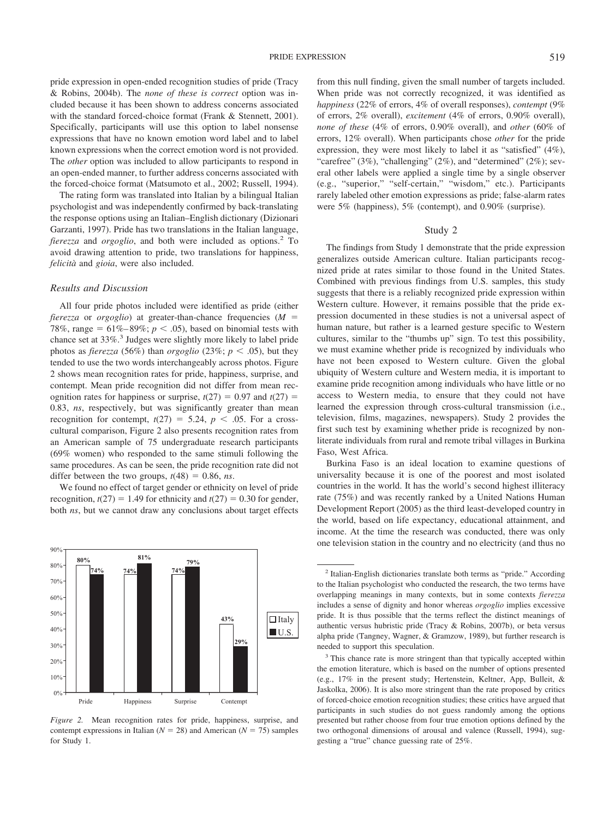pride expression in open-ended recognition studies of pride (Tracy & Robins, 2004b). The *none of these is correct* option was included because it has been shown to address concerns associated with the standard forced-choice format (Frank & Stennett, 2001). Specifically, participants will use this option to label nonsense expressions that have no known emotion word label and to label known expressions when the correct emotion word is not provided. The *other* option was included to allow participants to respond in an open-ended manner, to further address concerns associated with the forced-choice format (Matsumoto et al., 2002; Russell, 1994).

The rating form was translated into Italian by a bilingual Italian psychologist and was independently confirmed by back-translating the response options using an Italian–English dictionary (Dizionari Garzanti, 1997). Pride has two translations in the Italian language, *fierezza* and *orgoglio*, and both were included as options.2 To avoid drawing attention to pride, two translations for happiness, *felicita`* and *gioia*, were also included.

#### *Results and Discussion*

All four pride photos included were identified as pride (either *fierezza* or *orgoglio*) at greater-than-chance frequencies (*M* 78%, range =  $61\% - 89\%$ ;  $p < .05$ ), based on binomial tests with chance set at 33%.<sup>3</sup> Judges were slightly more likely to label pride photos as *fierezza* (56%) than *orgoglio* (23%;  $p < .05$ ), but they tended to use the two words interchangeably across photos. Figure 2 shows mean recognition rates for pride, happiness, surprise, and contempt. Mean pride recognition did not differ from mean recognition rates for happiness or surprise,  $t(27) = 0.97$  and  $t(27) = 0.97$ 0.83, *ns*, respectively, but was significantly greater than mean recognition for contempt,  $t(27) = 5.24$ ,  $p < .05$ . For a crosscultural comparison, Figure 2 also presents recognition rates from an American sample of 75 undergraduate research participants (69% women) who responded to the same stimuli following the same procedures. As can be seen, the pride recognition rate did not differ between the two groups,  $t(48) = 0.86$ , *ns*.

We found no effect of target gender or ethnicity on level of pride recognition,  $t(27) = 1.49$  for ethnicity and  $t(27) = 0.30$  for gender, both *ns*, but we cannot draw any conclusions about target effects



*Figure 2.* Mean recognition rates for pride, happiness, surprise, and contempt expressions in Italian ( $N = 28$ ) and American ( $N = 75$ ) samples for Study 1.

from this null finding, given the small number of targets included. When pride was not correctly recognized, it was identified as *happiness* (22% of errors, 4% of overall responses), *contempt* (9% of errors, 2% overall), *excitement* (4% of errors, 0.90% overall), *none of these* (4% of errors, 0.90% overall), and *other* (60% of errors, 12% overall). When participants chose *other* for the pride expression, they were most likely to label it as "satisfied" (4%), "carefree"  $(3\%)$ , "challenging"  $(2\%)$ , and "determined"  $(2\%)$ ; several other labels were applied a single time by a single observer (e.g., "superior," "self-certain," "wisdom," etc.). Participants rarely labeled other emotion expressions as pride; false-alarm rates were 5% (happiness), 5% (contempt), and 0.90% (surprise).

#### Study 2

The findings from Study 1 demonstrate that the pride expression generalizes outside American culture. Italian participants recognized pride at rates similar to those found in the United States. Combined with previous findings from U.S. samples, this study suggests that there is a reliably recognized pride expression within Western culture. However, it remains possible that the pride expression documented in these studies is not a universal aspect of human nature, but rather is a learned gesture specific to Western cultures, similar to the "thumbs up" sign. To test this possibility, we must examine whether pride is recognized by individuals who have not been exposed to Western culture. Given the global ubiquity of Western culture and Western media, it is important to examine pride recognition among individuals who have little or no access to Western media, to ensure that they could not have learned the expression through cross-cultural transmission (i.e., television, films, magazines, newspapers). Study 2 provides the first such test by examining whether pride is recognized by nonliterate individuals from rural and remote tribal villages in Burkina Faso, West Africa.

Burkina Faso is an ideal location to examine questions of universality because it is one of the poorest and most isolated countries in the world. It has the world's second highest illiteracy rate (75%) and was recently ranked by a United Nations Human Development Report (2005) as the third least-developed country in the world, based on life expectancy, educational attainment, and income. At the time the research was conducted, there was only one television station in the country and no electricity (and thus no

<sup>2</sup> Italian-English dictionaries translate both terms as "pride." According to the Italian psychologist who conducted the research, the two terms have overlapping meanings in many contexts, but in some contexts *fierezza* includes a sense of dignity and honor whereas *orgoglio* implies excessive pride. It is thus possible that the terms reflect the distinct meanings of authentic versus hubristic pride (Tracy & Robins, 2007b), or beta versus alpha pride (Tangney, Wagner, & Gramzow, 1989), but further research is needed to support this speculation.

<sup>&</sup>lt;sup>3</sup> This chance rate is more stringent than that typically accepted within the emotion literature, which is based on the number of options presented (e.g., 17% in the present study; Hertenstein, Keltner, App, Bulleit, & Jaskolka, 2006). It is also more stringent than the rate proposed by critics of forced-choice emotion recognition studies; these critics have argued that participants in such studies do not guess randomly among the options presented but rather choose from four true emotion options defined by the two orthogonal dimensions of arousal and valence (Russell, 1994), suggesting a "true" chance guessing rate of 25%.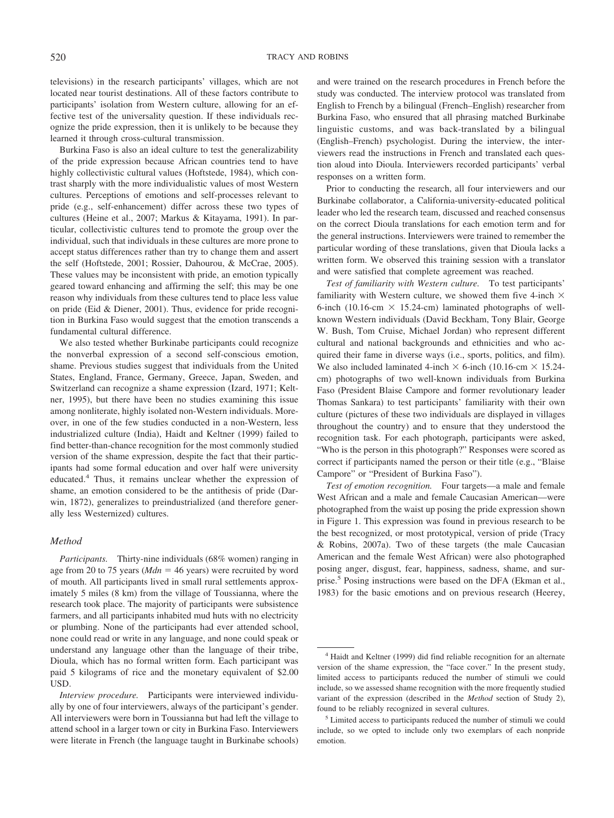televisions) in the research participants' villages, which are not located near tourist destinations. All of these factors contribute to participants' isolation from Western culture, allowing for an effective test of the universality question. If these individuals recognize the pride expression, then it is unlikely to be because they learned it through cross-cultural transmission.

Burkina Faso is also an ideal culture to test the generalizability of the pride expression because African countries tend to have highly collectivistic cultural values (Hoftstede, 1984), which contrast sharply with the more individualistic values of most Western cultures. Perceptions of emotions and self-processes relevant to pride (e.g., self-enhancement) differ across these two types of cultures (Heine et al., 2007; Markus & Kitayama, 1991). In particular, collectivistic cultures tend to promote the group over the individual, such that individuals in these cultures are more prone to accept status differences rather than try to change them and assert the self (Hoftstede, 2001; Rossier, Dahourou, & McCrae, 2005). These values may be inconsistent with pride, an emotion typically geared toward enhancing and affirming the self; this may be one reason why individuals from these cultures tend to place less value on pride (Eid & Diener, 2001). Thus, evidence for pride recognition in Burkina Faso would suggest that the emotion transcends a fundamental cultural difference.

We also tested whether Burkinabe participants could recognize the nonverbal expression of a second self-conscious emotion, shame. Previous studies suggest that individuals from the United States, England, France, Germany, Greece, Japan, Sweden, and Switzerland can recognize a shame expression (Izard, 1971; Keltner, 1995), but there have been no studies examining this issue among nonliterate, highly isolated non-Western individuals. Moreover, in one of the few studies conducted in a non-Western, less industrialized culture (India), Haidt and Keltner (1999) failed to find better-than-chance recognition for the most commonly studied version of the shame expression, despite the fact that their participants had some formal education and over half were university educated.4 Thus, it remains unclear whether the expression of shame, an emotion considered to be the antithesis of pride (Darwin, 1872), generalizes to preindustrialized (and therefore generally less Westernized) cultures.

#### *Method*

*Participants.* Thirty-nine individuals (68% women) ranging in age from 20 to 75 years ( $Mdn = 46$  years) were recruited by word of mouth. All participants lived in small rural settlements approximately 5 miles (8 km) from the village of Toussianna, where the research took place. The majority of participants were subsistence farmers, and all participants inhabited mud huts with no electricity or plumbing. None of the participants had ever attended school, none could read or write in any language, and none could speak or understand any language other than the language of their tribe, Dioula, which has no formal written form. Each participant was paid 5 kilograms of rice and the monetary equivalent of \$2.00 USD.

*Interview procedure.* Participants were interviewed individually by one of four interviewers, always of the participant's gender. All interviewers were born in Toussianna but had left the village to attend school in a larger town or city in Burkina Faso. Interviewers were literate in French (the language taught in Burkinabe schools) and were trained on the research procedures in French before the study was conducted. The interview protocol was translated from English to French by a bilingual (French–English) researcher from Burkina Faso, who ensured that all phrasing matched Burkinabe linguistic customs, and was back-translated by a bilingual (English–French) psychologist. During the interview, the interviewers read the instructions in French and translated each question aloud into Dioula. Interviewers recorded participants' verbal responses on a written form.

Prior to conducting the research, all four interviewers and our Burkinabe collaborator, a California-university-educated political leader who led the research team, discussed and reached consensus on the correct Dioula translations for each emotion term and for the general instructions. Interviewers were trained to remember the particular wording of these translations, given that Dioula lacks a written form. We observed this training session with a translator and were satisfied that complete agreement was reached.

*Test of familiarity with Western culture.* To test participants' familiarity with Western culture, we showed them five 4-inch  $\times$ 6-inch (10.16-cm  $\times$  15.24-cm) laminated photographs of wellknown Western individuals (David Beckham, Tony Blair, George W. Bush, Tom Cruise, Michael Jordan) who represent different cultural and national backgrounds and ethnicities and who acquired their fame in diverse ways (i.e., sports, politics, and film). We also included laminated 4-inch  $\times$  6-inch (10.16-cm  $\times$  15.24cm) photographs of two well-known individuals from Burkina Faso (President Blaise Campore and former revolutionary leader Thomas Sankara) to test participants' familiarity with their own culture (pictures of these two individuals are displayed in villages throughout the country) and to ensure that they understood the recognition task. For each photograph, participants were asked, "Who is the person in this photograph?" Responses were scored as correct if participants named the person or their title (e.g., "Blaise Campore" or "President of Burkina Faso").

*Test of emotion recognition.* Four targets—a male and female West African and a male and female Caucasian American—were photographed from the waist up posing the pride expression shown in Figure 1. This expression was found in previous research to be the best recognized, or most prototypical, version of pride (Tracy & Robins, 2007a). Two of these targets (the male Caucasian American and the female West African) were also photographed posing anger, disgust, fear, happiness, sadness, shame, and surprise.5 Posing instructions were based on the DFA (Ekman et al., 1983) for the basic emotions and on previous research (Heerey,

<sup>4</sup> Haidt and Keltner (1999) did find reliable recognition for an alternate version of the shame expression, the "face cover." In the present study, limited access to participants reduced the number of stimuli we could include, so we assessed shame recognition with the more frequently studied variant of the expression (described in the *Method* section of Study 2), found to be reliably recognized in several cultures.

<sup>5</sup> Limited access to participants reduced the number of stimuli we could include, so we opted to include only two exemplars of each nonpride emotion.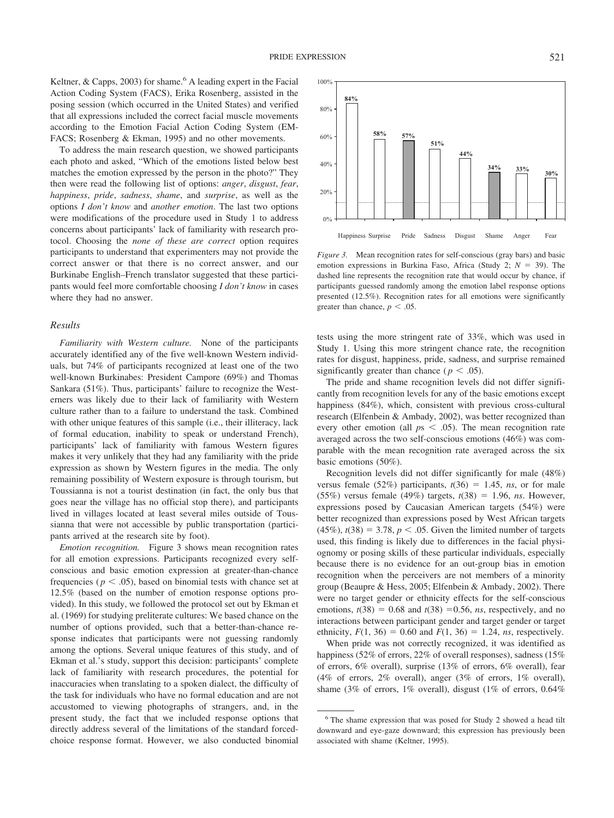Keltner,  $& \text{Capos}, 2003$  for shame.<sup>6</sup> A leading expert in the Facial Action Coding System (FACS), Erika Rosenberg, assisted in the posing session (which occurred in the United States) and verified that all expressions included the correct facial muscle movements according to the Emotion Facial Action Coding System (EM-FACS; Rosenberg & Ekman, 1995) and no other movements.

To address the main research question, we showed participants each photo and asked, "Which of the emotions listed below best matches the emotion expressed by the person in the photo?" They then were read the following list of options: *anger*, *disgust*, *fear*, *happiness*, *pride*, *sadness*, *shame*, and *surprise*, as well as the options *I don't know* and *another emotion*. The last two options were modifications of the procedure used in Study 1 to address concerns about participants' lack of familiarity with research protocol. Choosing the *none of these are correct* option requires participants to understand that experimenters may not provide the correct answer or that there is no correct answer, and our Burkinabe English–French translator suggested that these participants would feel more comfortable choosing *I don't know* in cases where they had no answer.

#### *Results*

*Familiarity with Western culture.* None of the participants accurately identified any of the five well-known Western individuals, but 74% of participants recognized at least one of the two well-known Burkinabes: President Campore (69%) and Thomas Sankara (51%). Thus, participants' failure to recognize the Westerners was likely due to their lack of familiarity with Western culture rather than to a failure to understand the task. Combined with other unique features of this sample (i.e., their illiteracy, lack of formal education, inability to speak or understand French), participants' lack of familiarity with famous Western figures makes it very unlikely that they had any familiarity with the pride expression as shown by Western figures in the media. The only remaining possibility of Western exposure is through tourism, but Toussianna is not a tourist destination (in fact, the only bus that goes near the village has no official stop there), and participants lived in villages located at least several miles outside of Toussianna that were not accessible by public transportation (participants arrived at the research site by foot).

*Emotion recognition.* Figure 3 shows mean recognition rates for all emotion expressions. Participants recognized every selfconscious and basic emotion expression at greater-than-chance frequencies ( $p < .05$ ), based on binomial tests with chance set at 12.5% (based on the number of emotion response options provided). In this study, we followed the protocol set out by Ekman et al. (1969) for studying preliterate cultures: We based chance on the number of options provided, such that a better-than-chance response indicates that participants were not guessing randomly among the options. Several unique features of this study, and of Ekman et al.'s study, support this decision: participants' complete lack of familiarity with research procedures, the potential for inaccuracies when translating to a spoken dialect, the difficulty of the task for individuals who have no formal education and are not accustomed to viewing photographs of strangers, and, in the present study, the fact that we included response options that directly address several of the limitations of the standard forcedchoice response format. However, we also conducted binomial



*Figure 3.* Mean recognition rates for self-conscious (gray bars) and basic emotion expressions in Burkina Faso, Africa (Study 2;  $N = 39$ ). The dashed line represents the recognition rate that would occur by chance, if participants guessed randomly among the emotion label response options presented (12.5%). Recognition rates for all emotions were significantly greater than chance,  $p < .05$ .

tests using the more stringent rate of 33%, which was used in Study 1. Using this more stringent chance rate, the recognition rates for disgust, happiness, pride, sadness, and surprise remained significantly greater than chance ( $p < .05$ ).

The pride and shame recognition levels did not differ significantly from recognition levels for any of the basic emotions except happiness (84%), which, consistent with previous cross-cultural research (Elfenbein & Ambady, 2002), was better recognized than every other emotion (all  $ps < .05$ ). The mean recognition rate averaged across the two self-conscious emotions (46%) was comparable with the mean recognition rate averaged across the six basic emotions (50%).

Recognition levels did not differ significantly for male (48%) versus female (52%) participants,  $t(36) = 1.45$ , *ns*, or for male (55%) versus female (49%) targets,  $t(38) = 1.96$ , *ns*. However, expressions posed by Caucasian American targets (54%) were better recognized than expressions posed by West African targets  $(45\%)$ ,  $t(38) = 3.78$ ,  $p < .05$ . Given the limited number of targets used, this finding is likely due to differences in the facial physiognomy or posing skills of these particular individuals, especially because there is no evidence for an out-group bias in emotion recognition when the perceivers are not members of a minority group (Beaupre & Hess, 2005; Elfenbein & Ambady, 2002). There were no target gender or ethnicity effects for the self-conscious emotions,  $t(38) = 0.68$  and  $t(38) = 0.56$ , *ns*, respectively, and no interactions between participant gender and target gender or target ethnicity,  $F(1, 36) = 0.60$  and  $F(1, 36) = 1.24$ , *ns*, respectively.

When pride was not correctly recognized, it was identified as happiness (52% of errors, 22% of overall responses), sadness (15%) of errors, 6% overall), surprise (13% of errors, 6% overall), fear (4% of errors, 2% overall), anger (3% of errors, 1% overall), shame (3% of errors, 1% overall), disgust (1% of errors, 0.64%

<sup>&</sup>lt;sup>6</sup> The shame expression that was posed for Study 2 showed a head tilt downward and eye-gaze downward; this expression has previously been associated with shame (Keltner, 1995).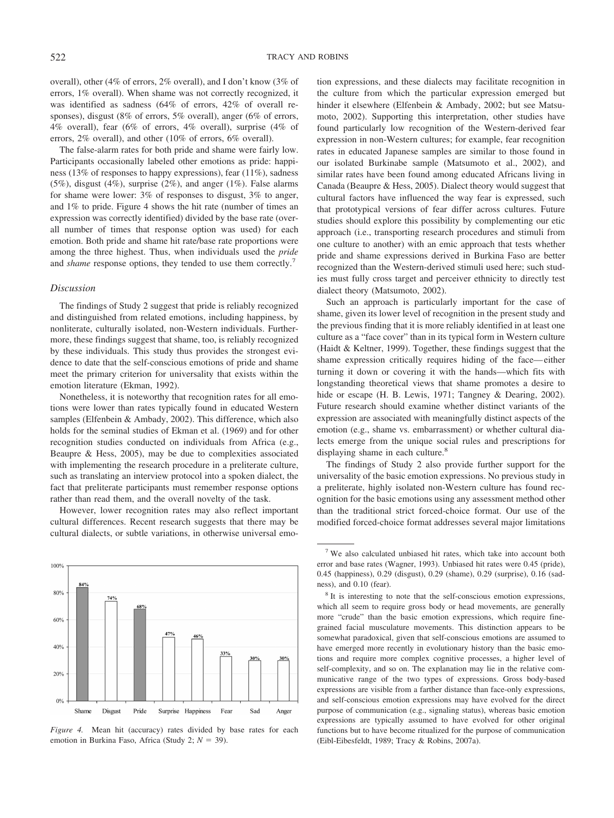overall), other (4% of errors, 2% overall), and I don't know (3% of errors, 1% overall). When shame was not correctly recognized, it was identified as sadness (64% of errors, 42% of overall responses), disgust (8% of errors, 5% overall), anger (6% of errors, 4% overall), fear (6% of errors, 4% overall), surprise (4% of errors, 2% overall), and other (10% of errors, 6% overall).

The false-alarm rates for both pride and shame were fairly low. Participants occasionally labeled other emotions as pride: happiness (13% of responses to happy expressions), fear (11%), sadness (5%), disgust (4%), surprise (2%), and anger (1%). False alarms for shame were lower: 3% of responses to disgust, 3% to anger, and 1% to pride. Figure 4 shows the hit rate (number of times an expression was correctly identified) divided by the base rate (overall number of times that response option was used) for each emotion. Both pride and shame hit rate/base rate proportions were among the three highest. Thus, when individuals used the *pride* and *shame* response options, they tended to use them correctly.<sup>7</sup>

#### *Discussion*

The findings of Study 2 suggest that pride is reliably recognized and distinguished from related emotions, including happiness, by nonliterate, culturally isolated, non-Western individuals. Furthermore, these findings suggest that shame, too, is reliably recognized by these individuals. This study thus provides the strongest evidence to date that the self-conscious emotions of pride and shame meet the primary criterion for universality that exists within the emotion literature (Ekman, 1992).

Nonetheless, it is noteworthy that recognition rates for all emotions were lower than rates typically found in educated Western samples (Elfenbein & Ambady, 2002). This difference, which also holds for the seminal studies of Ekman et al. (1969) and for other recognition studies conducted on individuals from Africa (e.g., Beaupre & Hess, 2005), may be due to complexities associated with implementing the research procedure in a preliterate culture, such as translating an interview protocol into a spoken dialect, the fact that preliterate participants must remember response options rather than read them, and the overall novelty of the task.

However, lower recognition rates may also reflect important cultural differences. Recent research suggests that there may be cultural dialects, or subtle variations, in otherwise universal emo-



*Figure 4.* Mean hit (accuracy) rates divided by base rates for each emotion in Burkina Faso, Africa (Study 2;  $N = 39$ ).

tion expressions, and these dialects may facilitate recognition in the culture from which the particular expression emerged but hinder it elsewhere (Elfenbein & Ambady, 2002; but see Matsumoto, 2002). Supporting this interpretation, other studies have found particularly low recognition of the Western-derived fear expression in non-Western cultures; for example, fear recognition rates in educated Japanese samples are similar to those found in our isolated Burkinabe sample (Matsumoto et al., 2002), and similar rates have been found among educated Africans living in Canada (Beaupre & Hess, 2005). Dialect theory would suggest that cultural factors have influenced the way fear is expressed, such that prototypical versions of fear differ across cultures. Future studies should explore this possibility by complementing our etic approach (i.e., transporting research procedures and stimuli from one culture to another) with an emic approach that tests whether pride and shame expressions derived in Burkina Faso are better recognized than the Western-derived stimuli used here; such studies must fully cross target and perceiver ethnicity to directly test dialect theory (Matsumoto, 2002).

Such an approach is particularly important for the case of shame, given its lower level of recognition in the present study and the previous finding that it is more reliably identified in at least one culture as a "face cover" than in its typical form in Western culture (Haidt & Keltner, 1999). Together, these findings suggest that the shame expression critically requires hiding of the face— either turning it down or covering it with the hands—which fits with longstanding theoretical views that shame promotes a desire to hide or escape (H. B. Lewis, 1971; Tangney & Dearing, 2002). Future research should examine whether distinct variants of the expression are associated with meaningfully distinct aspects of the emotion (e.g., shame vs. embarrassment) or whether cultural dialects emerge from the unique social rules and prescriptions for displaying shame in each culture.<sup>8</sup>

The findings of Study 2 also provide further support for the universality of the basic emotion expressions. No previous study in a preliterate, highly isolated non-Western culture has found recognition for the basic emotions using any assessment method other than the traditional strict forced-choice format. Our use of the modified forced-choice format addresses several major limitations

<sup>7</sup> We also calculated unbiased hit rates, which take into account both error and base rates (Wagner, 1993). Unbiased hit rates were 0.45 (pride), 0.45 (happiness), 0.29 (disgust), 0.29 (shame), 0.29 (surprise), 0.16 (sadness), and 0.10 (fear).

<sup>&</sup>lt;sup>8</sup> It is interesting to note that the self-conscious emotion expressions, which all seem to require gross body or head movements, are generally more "crude" than the basic emotion expressions, which require finegrained facial musculature movements. This distinction appears to be somewhat paradoxical, given that self-conscious emotions are assumed to have emerged more recently in evolutionary history than the basic emotions and require more complex cognitive processes, a higher level of self-complexity, and so on. The explanation may lie in the relative communicative range of the two types of expressions. Gross body-based expressions are visible from a farther distance than face-only expressions, and self-conscious emotion expressions may have evolved for the direct purpose of communication (e.g., signaling status), whereas basic emotion expressions are typically assumed to have evolved for other original functions but to have become ritualized for the purpose of communication (Eibl-Eibesfeldt, 1989; Tracy & Robins, 2007a).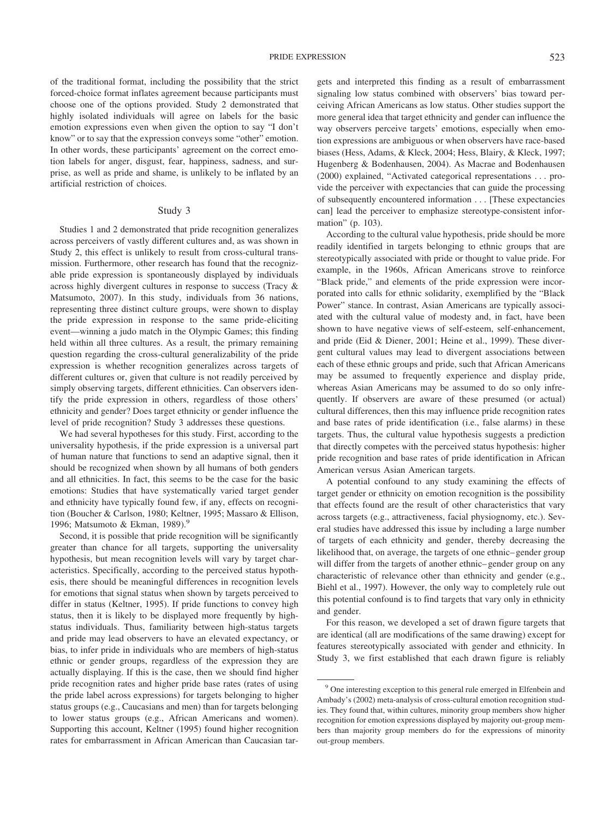of the traditional format, including the possibility that the strict forced-choice format inflates agreement because participants must choose one of the options provided. Study 2 demonstrated that highly isolated individuals will agree on labels for the basic emotion expressions even when given the option to say "I don't know" or to say that the expression conveys some "other" emotion. In other words, these participants' agreement on the correct emotion labels for anger, disgust, fear, happiness, sadness, and surprise, as well as pride and shame, is unlikely to be inflated by an artificial restriction of choices.

# Study 3

Studies 1 and 2 demonstrated that pride recognition generalizes across perceivers of vastly different cultures and, as was shown in Study 2, this effect is unlikely to result from cross-cultural transmission. Furthermore, other research has found that the recognizable pride expression is spontaneously displayed by individuals across highly divergent cultures in response to success (Tracy & Matsumoto, 2007). In this study, individuals from 36 nations, representing three distinct culture groups, were shown to display the pride expression in response to the same pride-eliciting event—winning a judo match in the Olympic Games; this finding held within all three cultures. As a result, the primary remaining question regarding the cross-cultural generalizability of the pride expression is whether recognition generalizes across targets of different cultures or, given that culture is not readily perceived by simply observing targets, different ethnicities. Can observers identify the pride expression in others, regardless of those others' ethnicity and gender? Does target ethnicity or gender influence the level of pride recognition? Study 3 addresses these questions.

We had several hypotheses for this study. First, according to the universality hypothesis, if the pride expression is a universal part of human nature that functions to send an adaptive signal, then it should be recognized when shown by all humans of both genders and all ethnicities. In fact, this seems to be the case for the basic emotions: Studies that have systematically varied target gender and ethnicity have typically found few, if any, effects on recognition (Boucher & Carlson, 1980; Keltner, 1995; Massaro & Ellison, 1996; Matsumoto & Ekman, 1989).<sup>9</sup>

Second, it is possible that pride recognition will be significantly greater than chance for all targets, supporting the universality hypothesis, but mean recognition levels will vary by target characteristics. Specifically, according to the perceived status hypothesis, there should be meaningful differences in recognition levels for emotions that signal status when shown by targets perceived to differ in status (Keltner, 1995). If pride functions to convey high status, then it is likely to be displayed more frequently by highstatus individuals. Thus, familiarity between high-status targets and pride may lead observers to have an elevated expectancy, or bias, to infer pride in individuals who are members of high-status ethnic or gender groups, regardless of the expression they are actually displaying. If this is the case, then we should find higher pride recognition rates and higher pride base rates (rates of using the pride label across expressions) for targets belonging to higher status groups (e.g., Caucasians and men) than for targets belonging to lower status groups (e.g., African Americans and women). Supporting this account, Keltner (1995) found higher recognition rates for embarrassment in African American than Caucasian targets and interpreted this finding as a result of embarrassment signaling low status combined with observers' bias toward perceiving African Americans as low status. Other studies support the more general idea that target ethnicity and gender can influence the way observers perceive targets' emotions, especially when emotion expressions are ambiguous or when observers have race-based biases (Hess, Adams, & Kleck, 2004; Hess, Blairy, & Kleck, 1997; Hugenberg & Bodenhausen, 2004). As Macrae and Bodenhausen (2000) explained, "Activated categorical representations . . . provide the perceiver with expectancies that can guide the processing of subsequently encountered information . . . [These expectancies can] lead the perceiver to emphasize stereotype-consistent information" (p. 103).

According to the cultural value hypothesis, pride should be more readily identified in targets belonging to ethnic groups that are stereotypically associated with pride or thought to value pride. For example, in the 1960s, African Americans strove to reinforce "Black pride," and elements of the pride expression were incorporated into calls for ethnic solidarity, exemplified by the "Black Power" stance. In contrast, Asian Americans are typically associated with the cultural value of modesty and, in fact, have been shown to have negative views of self-esteem, self-enhancement, and pride (Eid & Diener, 2001; Heine et al., 1999). These divergent cultural values may lead to divergent associations between each of these ethnic groups and pride, such that African Americans may be assumed to frequently experience and display pride, whereas Asian Americans may be assumed to do so only infrequently. If observers are aware of these presumed (or actual) cultural differences, then this may influence pride recognition rates and base rates of pride identification (i.e., false alarms) in these targets. Thus, the cultural value hypothesis suggests a prediction that directly competes with the perceived status hypothesis: higher pride recognition and base rates of pride identification in African American versus Asian American targets.

A potential confound to any study examining the effects of target gender or ethnicity on emotion recognition is the possibility that effects found are the result of other characteristics that vary across targets (e.g., attractiveness, facial physiognomy, etc.). Several studies have addressed this issue by including a large number of targets of each ethnicity and gender, thereby decreasing the likelihood that, on average, the targets of one ethnic– gender group will differ from the targets of another ethnic– gender group on any characteristic of relevance other than ethnicity and gender (e.g., Biehl et al., 1997). However, the only way to completely rule out this potential confound is to find targets that vary only in ethnicity and gender.

For this reason, we developed a set of drawn figure targets that are identical (all are modifications of the same drawing) except for features stereotypically associated with gender and ethnicity. In Study 3, we first established that each drawn figure is reliably

<sup>9</sup> One interesting exception to this general rule emerged in Elfenbein and Ambady's (2002) meta-analysis of cross-cultural emotion recognition studies. They found that, within cultures, minority group members show higher recognition for emotion expressions displayed by majority out-group members than majority group members do for the expressions of minority out-group members.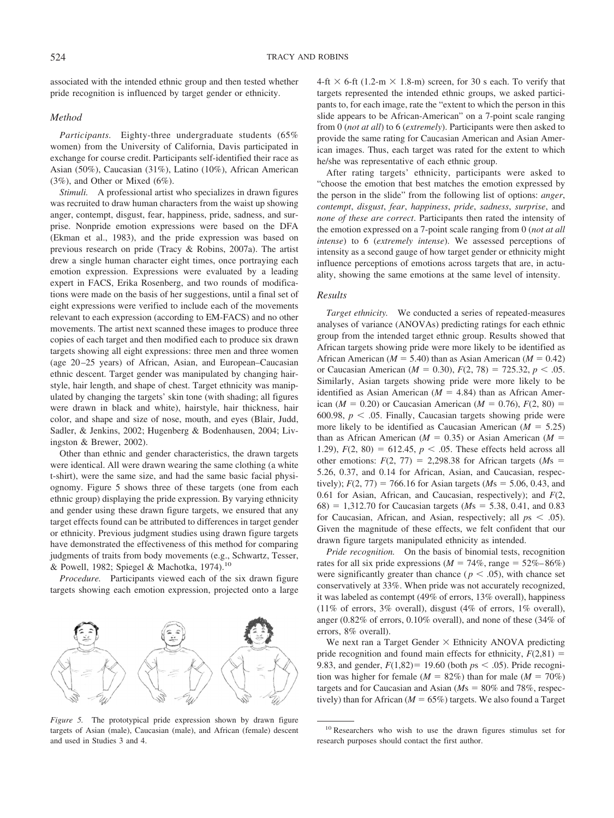associated with the intended ethnic group and then tested whether pride recognition is influenced by target gender or ethnicity.

#### *Method*

*Participants.* Eighty-three undergraduate students (65% women) from the University of California, Davis participated in exchange for course credit. Participants self-identified their race as Asian (50%), Caucasian (31%), Latino (10%), African American (3%), and Other or Mixed (6%).

*Stimuli.* A professional artist who specializes in drawn figures was recruited to draw human characters from the waist up showing anger, contempt, disgust, fear, happiness, pride, sadness, and surprise. Nonpride emotion expressions were based on the DFA (Ekman et al., 1983), and the pride expression was based on previous research on pride (Tracy & Robins, 2007a). The artist drew a single human character eight times, once portraying each emotion expression. Expressions were evaluated by a leading expert in FACS, Erika Rosenberg, and two rounds of modifications were made on the basis of her suggestions, until a final set of eight expressions were verified to include each of the movements relevant to each expression (according to EM-FACS) and no other movements. The artist next scanned these images to produce three copies of each target and then modified each to produce six drawn targets showing all eight expressions: three men and three women (age 20 –25 years) of African, Asian, and European–Caucasian ethnic descent. Target gender was manipulated by changing hairstyle, hair length, and shape of chest. Target ethnicity was manipulated by changing the targets' skin tone (with shading; all figures were drawn in black and white), hairstyle, hair thickness, hair color, and shape and size of nose, mouth, and eyes (Blair, Judd, Sadler, & Jenkins, 2002; Hugenberg & Bodenhausen, 2004; Livingston & Brewer, 2002).

Other than ethnic and gender characteristics, the drawn targets were identical. All were drawn wearing the same clothing (a white t-shirt), were the same size, and had the same basic facial physiognomy. Figure 5 shows three of these targets (one from each ethnic group) displaying the pride expression. By varying ethnicity and gender using these drawn figure targets, we ensured that any target effects found can be attributed to differences in target gender or ethnicity. Previous judgment studies using drawn figure targets have demonstrated the effectiveness of this method for comparing judgments of traits from body movements (e.g., Schwartz, Tesser, & Powell, 1982; Spiegel & Machotka, 1974).10

*Procedure.* Participants viewed each of the six drawn figure targets showing each emotion expression, projected onto a large



*Figure 5.* The prototypical pride expression shown by drawn figure targets of Asian (male), Caucasian (male), and African (female) descent and used in Studies 3 and 4.

4-ft  $\times$  6-ft (1.2-m  $\times$  1.8-m) screen, for 30 s each. To verify that targets represented the intended ethnic groups, we asked participants to, for each image, rate the "extent to which the person in this slide appears to be African-American" on a 7-point scale ranging from 0 (*not at all*) to 6 (*extremely*). Participants were then asked to provide the same rating for Caucasian American and Asian American images. Thus, each target was rated for the extent to which he/she was representative of each ethnic group.

After rating targets' ethnicity, participants were asked to "choose the emotion that best matches the emotion expressed by the person in the slide" from the following list of options: *anger*, *contempt*, *disgust*, *fear*, *happiness*, *pride*, *sadness*, *surprise*, and *none of these are correct*. Participants then rated the intensity of the emotion expressed on a 7-point scale ranging from 0 (*not at all intense*) to 6 (*extremely intense*). We assessed perceptions of intensity as a second gauge of how target gender or ethnicity might influence perceptions of emotions across targets that are, in actuality, showing the same emotions at the same level of intensity.

# *Results*

*Target ethnicity.* We conducted a series of repeated-measures analyses of variance (ANOVAs) predicting ratings for each ethnic group from the intended target ethnic group. Results showed that African targets showing pride were more likely to be identified as African American ( $M = 5.40$ ) than as Asian American ( $M = 0.42$ ) or Caucasian American ( $M = 0.30$ ),  $F(2, 78) = 725.32$ ,  $p < .05$ . Similarly, Asian targets showing pride were more likely to be identified as Asian American  $(M = 4.84)$  than as African American ( $M = 0.20$ ) or Caucasian American ( $M = 0.76$ ),  $F(2, 80) =$ 600.98,  $p < .05$ . Finally, Caucasian targets showing pride were more likely to be identified as Caucasian American  $(M = 5.25)$ than as African American ( $M = 0.35$ ) or Asian American ( $M =$ 1.29),  $F(2, 80) = 612.45$ ,  $p < .05$ . These effects held across all other emotions:  $F(2, 77) = 2,298.38$  for African targets (*Ms* = 5.26, 0.37, and 0.14 for African, Asian, and Caucasian, respectively);  $F(2, 77) = 766.16$  for Asian targets ( $Ms = 5.06, 0.43$ , and 0.61 for Asian, African, and Caucasian, respectively); and *F*(2,  $68$ ) = 1,312.70 for Caucasian targets ( $Ms = 5.38$ , 0.41, and 0.83 for Caucasian, African, and Asian, respectively; all  $ps < .05$ ). Given the magnitude of these effects, we felt confident that our drawn figure targets manipulated ethnicity as intended.

*Pride recognition.* On the basis of binomial tests, recognition rates for all six pride expressions ( $M = 74\%$ , range =  $52\% - 86\%$ ) were significantly greater than chance ( $p < .05$ ), with chance set conservatively at 33%. When pride was not accurately recognized, it was labeled as contempt (49% of errors, 13% overall), happiness (11% of errors, 3% overall), disgust (4% of errors, 1% overall), anger (0.82% of errors, 0.10% overall), and none of these (34% of errors, 8% overall).

We next ran a Target Gender  $\times$  Ethnicity ANOVA predicting pride recognition and found main effects for ethnicity,  $F(2,81) =$ 9.83, and gender,  $F(1,82) = 19.60$  (both  $ps < .05$ ). Pride recognition was higher for female ( $M = 82\%$ ) than for male ( $M = 70\%$ ) targets and for Caucasian and Asian  $(Ms = 80\%$  and 78%, respectively) than for African ( $M = 65\%$ ) targets. We also found a Target

<sup>10</sup> Researchers who wish to use the drawn figures stimulus set for research purposes should contact the first author.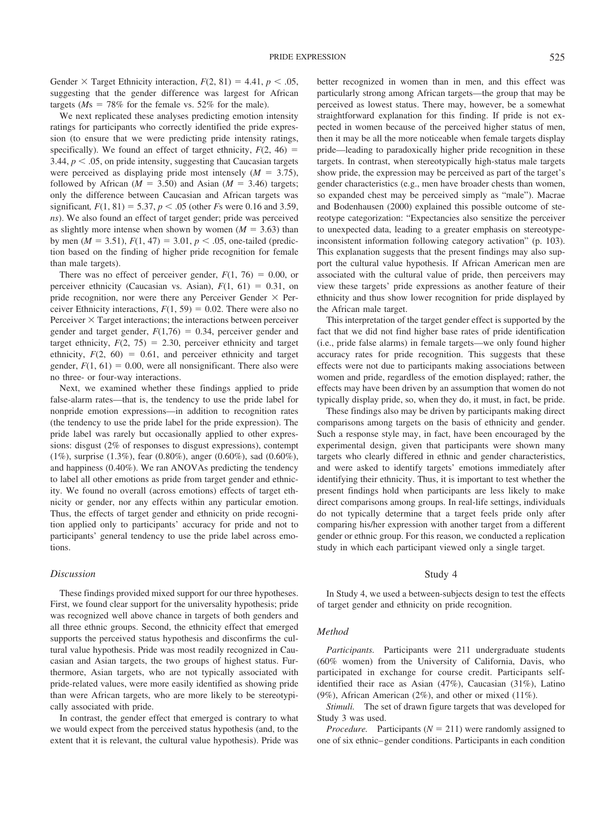Gender  $\times$  Target Ethnicity interaction,  $F(2, 81) = 4.41$ ,  $p < .05$ , suggesting that the gender difference was largest for African targets ( $Ms = 78\%$  for the female vs. 52% for the male).

We next replicated these analyses predicting emotion intensity ratings for participants who correctly identified the pride expression (to ensure that we were predicting pride intensity ratings, specifically). We found an effect of target ethnicity,  $F(2, 46) =$ 3.44,  $p < .05$ , on pride intensity, suggesting that Caucasian targets were perceived as displaying pride most intensely  $(M = 3.75)$ , followed by African ( $M = 3.50$ ) and Asian ( $M = 3.46$ ) targets; only the difference between Caucasian and African targets was significant,  $F(1, 81) = 5.37, p < .05$  (other *F*s were 0.16 and 3.59, *ns*). We also found an effect of target gender; pride was perceived as slightly more intense when shown by women  $(M = 3.63)$  than by men ( $M = 3.51$ ),  $F(1, 47) = 3.01$ ,  $p < .05$ , one-tailed (prediction based on the finding of higher pride recognition for female than male targets).

There was no effect of perceiver gender,  $F(1, 76) = 0.00$ , or perceiver ethnicity (Caucasian vs. Asian),  $F(1, 61) = 0.31$ , on pride recognition, nor were there any Perceiver Gender  $\times$  Perceiver Ethnicity interactions,  $F(1, 59) = 0.02$ . There were also no Perceiver  $\times$  Target interactions; the interactions between perceiver gender and target gender,  $F(1,76) = 0.34$ , perceiver gender and target ethnicity,  $F(2, 75) = 2.30$ , perceiver ethnicity and target ethnicity,  $F(2, 60) = 0.61$ , and perceiver ethnicity and target gender,  $F(1, 61) = 0.00$ , were all nonsignificant. There also were no three- or four-way interactions.

Next, we examined whether these findings applied to pride false-alarm rates—that is, the tendency to use the pride label for nonpride emotion expressions—in addition to recognition rates (the tendency to use the pride label for the pride expression). The pride label was rarely but occasionally applied to other expressions: disgust (2% of responses to disgust expressions), contempt (1%), surprise (1.3%), fear (0.80%), anger (0.60%), sad (0.60%), and happiness (0.40%). We ran ANOVAs predicting the tendency to label all other emotions as pride from target gender and ethnicity. We found no overall (across emotions) effects of target ethnicity or gender, nor any effects within any particular emotion. Thus, the effects of target gender and ethnicity on pride recognition applied only to participants' accuracy for pride and not to participants' general tendency to use the pride label across emotions.

#### *Discussion*

These findings provided mixed support for our three hypotheses. First, we found clear support for the universality hypothesis; pride was recognized well above chance in targets of both genders and all three ethnic groups. Second, the ethnicity effect that emerged supports the perceived status hypothesis and disconfirms the cultural value hypothesis. Pride was most readily recognized in Caucasian and Asian targets, the two groups of highest status. Furthermore, Asian targets, who are not typically associated with pride-related values, were more easily identified as showing pride than were African targets, who are more likely to be stereotypically associated with pride.

In contrast, the gender effect that emerged is contrary to what we would expect from the perceived status hypothesis (and, to the extent that it is relevant, the cultural value hypothesis). Pride was better recognized in women than in men, and this effect was particularly strong among African targets—the group that may be perceived as lowest status. There may, however, be a somewhat straightforward explanation for this finding. If pride is not expected in women because of the perceived higher status of men, then it may be all the more noticeable when female targets display pride—leading to paradoxically higher pride recognition in these targets. In contrast, when stereotypically high-status male targets show pride, the expression may be perceived as part of the target's gender characteristics (e.g., men have broader chests than women, so expanded chest may be perceived simply as "male"). Macrae and Bodenhausen (2000) explained this possible outcome of stereotype categorization: "Expectancies also sensitize the perceiver to unexpected data, leading to a greater emphasis on stereotypeinconsistent information following category activation" (p. 103). This explanation suggests that the present findings may also support the cultural value hypothesis. If African American men are associated with the cultural value of pride, then perceivers may view these targets' pride expressions as another feature of their ethnicity and thus show lower recognition for pride displayed by the African male target.

This interpretation of the target gender effect is supported by the fact that we did not find higher base rates of pride identification (i.e., pride false alarms) in female targets—we only found higher accuracy rates for pride recognition. This suggests that these effects were not due to participants making associations between women and pride, regardless of the emotion displayed; rather, the effects may have been driven by an assumption that women do not typically display pride, so, when they do, it must, in fact, be pride.

These findings also may be driven by participants making direct comparisons among targets on the basis of ethnicity and gender. Such a response style may, in fact, have been encouraged by the experimental design, given that participants were shown many targets who clearly differed in ethnic and gender characteristics, and were asked to identify targets' emotions immediately after identifying their ethnicity. Thus, it is important to test whether the present findings hold when participants are less likely to make direct comparisons among groups. In real-life settings, individuals do not typically determine that a target feels pride only after comparing his/her expression with another target from a different gender or ethnic group. For this reason, we conducted a replication study in which each participant viewed only a single target.

#### Study 4

In Study 4, we used a between-subjects design to test the effects of target gender and ethnicity on pride recognition.

#### *Method*

*Participants.* Participants were 211 undergraduate students (60% women) from the University of California, Davis, who participated in exchange for course credit. Participants selfidentified their race as Asian (47%), Caucasian (31%), Latino (9%), African American (2%), and other or mixed (11%).

*Stimuli.* The set of drawn figure targets that was developed for Study 3 was used.

*Procedure.* Participants ( $N = 211$ ) were randomly assigned to one of six ethnic– gender conditions. Participants in each condition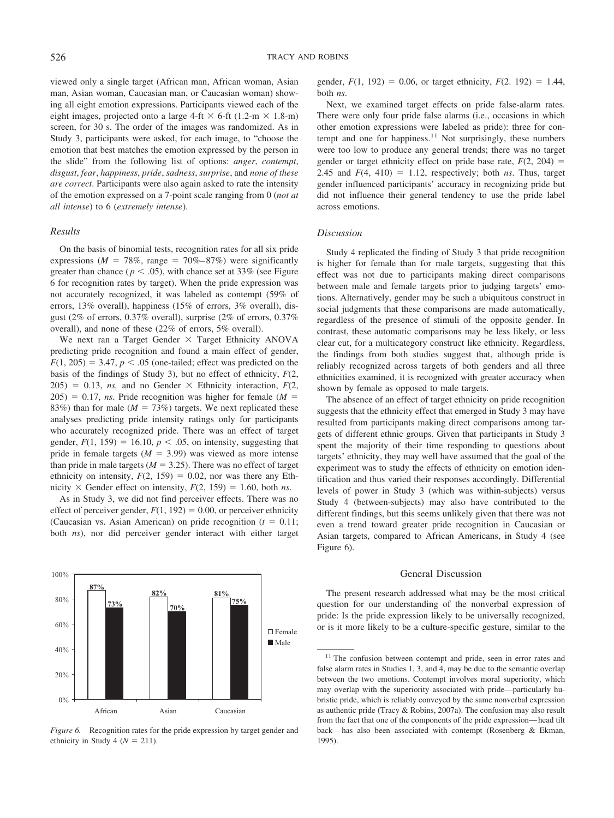viewed only a single target (African man, African woman, Asian man, Asian woman, Caucasian man, or Caucasian woman) showing all eight emotion expressions. Participants viewed each of the eight images, projected onto a large 4-ft  $\times$  6-ft (1.2-m  $\times$  1.8-m) screen, for 30 s. The order of the images was randomized. As in Study 3, participants were asked, for each image, to "choose the emotion that best matches the emotion expressed by the person in the slide" from the following list of options: *anger*, *contempt*, *disgust*, *fear*, *happiness*, *pride*, *sadness*, *surprise*, and *none of these are correct*. Participants were also again asked to rate the intensity of the emotion expressed on a 7-point scale ranging from 0 (*not at all intense*) to 6 (*extremely intense*).

### *Results*

On the basis of binomial tests, recognition rates for all six pride expressions ( $M = 78\%$ , range = 70%–87%) were significantly greater than chance ( $p < .05$ ), with chance set at 33% (see Figure 6 for recognition rates by target). When the pride expression was not accurately recognized, it was labeled as contempt (59% of errors, 13% overall), happiness (15% of errors, 3% overall), disgust (2% of errors, 0.37% overall), surprise (2% of errors, 0.37% overall), and none of these (22% of errors, 5% overall).

We next ran a Target Gender  $\times$  Target Ethnicity ANOVA predicting pride recognition and found a main effect of gender,  $F(1, 205) = 3.47$ ,  $p < .05$  (one-tailed; effect was predicted on the basis of the findings of Study 3), but no effect of ethnicity, *F*(2,  $205$ ) = 0.13, *ns*, and no Gender  $\times$  Ethnicity interaction,  $F(2, 1)$  $205$ ) = 0.17, *ns*. Pride recognition was higher for female ( $M =$ 83%) than for male ( $M = 73\%$ ) targets. We next replicated these analyses predicting pride intensity ratings only for participants who accurately recognized pride. There was an effect of target gender,  $F(1, 159) = 16.10, p < .05$ , on intensity, suggesting that pride in female targets  $(M = 3.99)$  was viewed as more intense than pride in male targets ( $M = 3.25$ ). There was no effect of target ethnicity on intensity,  $F(2, 159) = 0.02$ , nor was there any Ethnicity  $\times$  Gender effect on intensity,  $F(2, 159) = 1.60$ , both *ns*.

As in Study 3, we did not find perceiver effects. There was no effect of perceiver gender,  $F(1, 192) = 0.00$ , or perceiver ethnicity (Caucasian vs. Asian American) on pride recognition  $(t = 0.11)$ ; both *ns*), nor did perceiver gender interact with either target



*Figure 6.* Recognition rates for the pride expression by target gender and ethnicity in Study 4 ( $N = 211$ ).

gender,  $F(1, 192) = 0.06$ , or target ethnicity,  $F(2, 192) = 1.44$ , both *ns*.

Next, we examined target effects on pride false-alarm rates. There were only four pride false alarms (i.e., occasions in which other emotion expressions were labeled as pride): three for contempt and one for happiness. $11$  Not surprisingly, these numbers were too low to produce any general trends; there was no target gender or target ethnicity effect on pride base rate,  $F(2, 204) =$ 2.45 and  $F(4, 410) = 1.12$ , respectively; both *ns*. Thus, target gender influenced participants' accuracy in recognizing pride but did not influence their general tendency to use the pride label across emotions.

#### *Discussion*

Study 4 replicated the finding of Study 3 that pride recognition is higher for female than for male targets, suggesting that this effect was not due to participants making direct comparisons between male and female targets prior to judging targets' emotions. Alternatively, gender may be such a ubiquitous construct in social judgments that these comparisons are made automatically, regardless of the presence of stimuli of the opposite gender. In contrast, these automatic comparisons may be less likely, or less clear cut, for a multicategory construct like ethnicity. Regardless, the findings from both studies suggest that, although pride is reliably recognized across targets of both genders and all three ethnicities examined, it is recognized with greater accuracy when shown by female as opposed to male targets.

The absence of an effect of target ethnicity on pride recognition suggests that the ethnicity effect that emerged in Study 3 may have resulted from participants making direct comparisons among targets of different ethnic groups. Given that participants in Study 3 spent the majority of their time responding to questions about targets' ethnicity, they may well have assumed that the goal of the experiment was to study the effects of ethnicity on emotion identification and thus varied their responses accordingly. Differential levels of power in Study 3 (which was within-subjects) versus Study 4 (between-subjects) may also have contributed to the different findings, but this seems unlikely given that there was not even a trend toward greater pride recognition in Caucasian or Asian targets, compared to African Americans, in Study 4 (see Figure 6).

# General Discussion

The present research addressed what may be the most critical question for our understanding of the nonverbal expression of pride: Is the pride expression likely to be universally recognized, or is it more likely to be a culture-specific gesture, similar to the

<sup>&</sup>lt;sup>11</sup> The confusion between contempt and pride, seen in error rates and false alarm rates in Studies 1, 3, and 4, may be due to the semantic overlap between the two emotions. Contempt involves moral superiority, which may overlap with the superiority associated with pride—particularly hubristic pride, which is reliably conveyed by the same nonverbal expression as authentic pride (Tracy & Robins, 2007a). The confusion may also result from the fact that one of the components of the pride expression— head tilt back— has also been associated with contempt (Rosenberg & Ekman, 1995).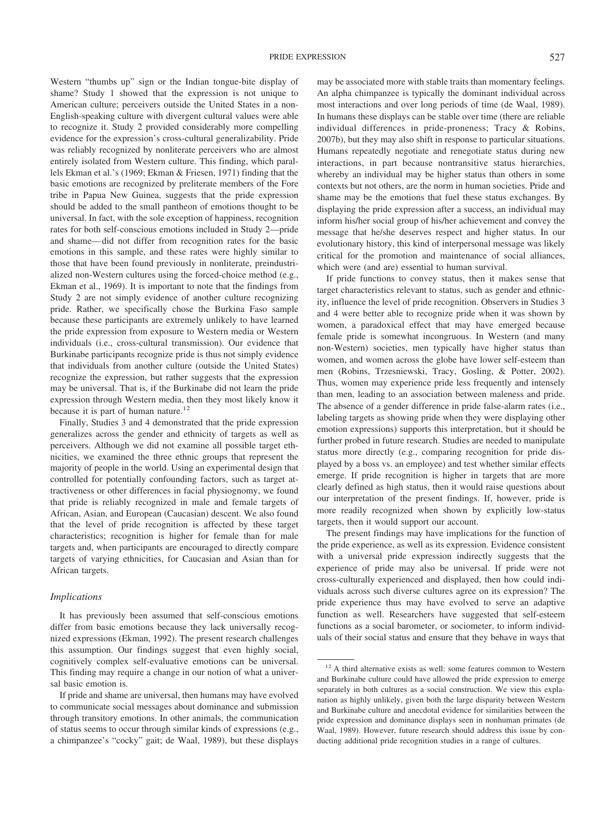Western "thumbs up" sign or the Indian tongue-bite display of shame? Study 1 showed that the expression is not unique to American culture; perceivers outside the United States in a non-English-speaking culture with divergent cultural values were able to recognize it. Study 2 provided considerably more compelling evidence for the expression's cross-cultural generalizability. Pride was reliably recognized by nonliterate perceivers who are almost entirely isolated from Western culture. This finding, which parallels Ekman et al.'s (1969; Ekman & Friesen, 1971) finding that the basic emotions are recognized by preliterate members of the Fore tribe in Papua New Guinea, suggests that the pride expression should be added to the small pantheon of emotions thought to be universal. In fact, with the sole exception of happiness, recognition rates for both self-conscious emotions included in Study 2—pride and shame— did not differ from recognition rates for the basic emotions in this sample, and these rates were highly similar to those that have been found previously in nonliterate, preindustrialized non-Western cultures using the forced-choice method (e.g., Ekman et al., 1969). It is important to note that the findings from Study 2 are not simply evidence of another culture recognizing pride. Rather, we specifically chose the Burkina Faso sample because these participants are extremely unlikely to have learned the pride expression from exposure to Western media or Western individuals (i.e., cross-cultural transmission). Our evidence that Burkinabe participants recognize pride is thus not simply evidence that individuals from another culture (outside the United States) recognize the expression, but rather suggests that the expression may be universal. That is, if the Burkinabe did not learn the pride expression through Western media, then they most likely know it because it is part of human nature.<sup>12</sup>

Finally, Studies 3 and 4 demonstrated that the pride expression generalizes across the gender and ethnicity of targets as well as perceivers. Although we did not examine all possible target ethnicities, we examined the three ethnic groups that represent the majority of people in the world. Using an experimental design that controlled for potentially confounding factors, such as target attractiveness or other differences in facial physiognomy, we found that pride is reliably recognized in male and female targets of African, Asian, and European (Caucasian) descent. We also found that the level of pride recognition is affected by these target characteristics; recognition is higher for female than for male targets and, when participants are encouraged to directly compare targets of varying ethnicities, for Caucasian and Asian than for African targets.

# *Implications*

It has previously been assumed that self-conscious emotions differ from basic emotions because they lack universally recognized expressions (Ekman, 1992). The present research challenges this assumption. Our findings suggest that even highly social, cognitively complex self-evaluative emotions can be universal. This finding may require a change in our notion of what a universal basic emotion is.

If pride and shame are universal, then humans may have evolved to communicate social messages about dominance and submission through transitory emotions. In other animals, the communication of status seems to occur through similar kinds of expressions (e.g., a chimpanzee's "cocky" gait; de Waal, 1989), but these displays

may be associated more with stable traits than momentary feelings. An alpha chimpanzee is typically the dominant individual across most interactions and over long periods of time (de Waal, 1989). In humans these displays can be stable over time (there are reliable individual differences in pride-proneness; Tracy & Robins, 2007b), but they may also shift in response to particular situations. Humans repeatedly negotiate and renegotiate status during new interactions, in part because nontransitive status hierarchies, whereby an individual may be higher status than others in some contexts but not others, are the norm in human societies. Pride and shame may be the emotions that fuel these status exchanges. By displaying the pride expression after a success, an individual may inform his/her social group of his/her achievement and convey the message that he/she deserves respect and higher status. In our evolutionary history, this kind of interpersonal message was likely critical for the promotion and maintenance of social alliances, which were (and are) essential to human survival.

If pride functions to convey status, then it makes sense that target characteristics relevant to status, such as gender and ethnicity, influence the level of pride recognition. Observers in Studies 3 and 4 were better able to recognize pride when it was shown by women, a paradoxical effect that may have emerged because female pride is somewhat incongruous. In Western (and many non-Western) societies, men typically have higher status than women, and women across the globe have lower self-esteem than men (Robins, Trzesniewski, Tracy, Gosling, & Potter, 2002). Thus, women may experience pride less frequently and intensely than men, leading to an association between maleness and pride. The absence of a gender difference in pride false-alarm rates (i.e., labeling targets as showing pride when they were displaying other emotion expressions) supports this interpretation, but it should be further probed in future research. Studies are needed to manipulate status more directly (e.g., comparing recognition for pride displayed by a boss vs. an employee) and test whether similar effects emerge. If pride recognition is higher in targets that are more clearly defined as high status, then it would raise questions about our interpretation of the present findings. If, however, pride is more readily recognized when shown by explicitly low-status targets, then it would support our account.

The present findings may have implications for the function of the pride experience, as well as its expression. Evidence consistent with a universal pride expression indirectly suggests that the experience of pride may also be universal. If pride were not cross-culturally experienced and displayed, then how could individuals across such diverse cultures agree on its expression? The pride experience thus may have evolved to serve an adaptive function as well. Researchers have suggested that self-esteem functions as a social barometer, or sociometer, to inform individuals of their social status and ensure that they behave in ways that

<sup>&</sup>lt;sup>12</sup> A third alternative exists as well: some features common to Western and Burkinabe culture could have allowed the pride expression to emerge separately in both cultures as a social construction. We view this explanation as highly unlikely, given both the large disparity between Western and Burkinabe culture and anecdotal evidence for similarities between the pride expression and dominance displays seen in nonhuman primates (de Waal, 1989). However, future research should address this issue by conducting additional pride recognition studies in a range of cultures.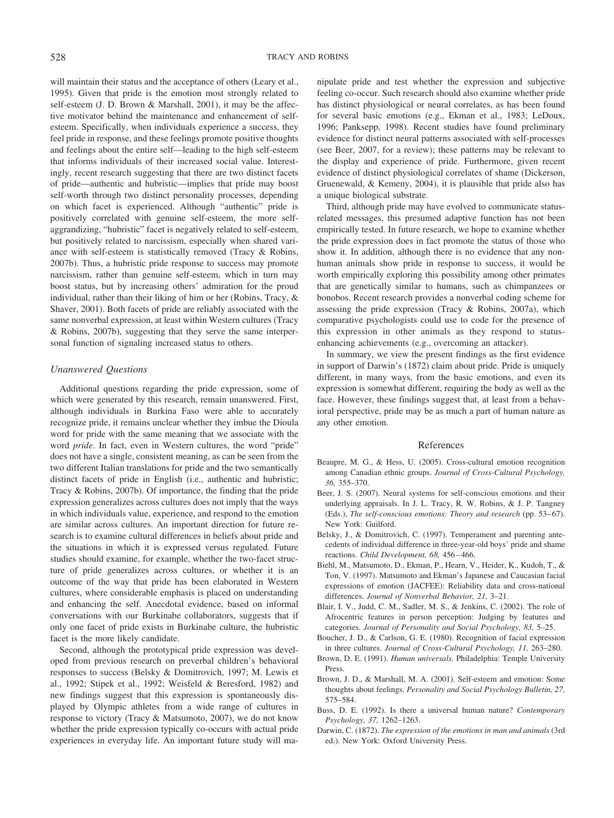will maintain their status and the acceptance of others (Leary et al., 1995). Given that pride is the emotion most strongly related to self-esteem (J. D. Brown & Marshall, 2001), it may be the affective motivator behind the maintenance and enhancement of selfesteem. Specifically, when individuals experience a success, they feel pride in response, and these feelings promote positive thoughts and feelings about the entire self—leading to the high self-esteem that informs individuals of their increased social value. Interestingly, recent research suggesting that there are two distinct facets of pride—authentic and hubristic—implies that pride may boost self-worth through two distinct personality processes, depending on which facet is experienced. Although "authentic" pride is positively correlated with genuine self-esteem, the more selfaggrandizing, "hubristic" facet is negatively related to self-esteem, but positively related to narcissism, especially when shared variance with self-esteem is statistically removed (Tracy & Robins, 2007b). Thus, a hubristic pride response to success may promote narcissism, rather than genuine self-esteem, which in turn may boost status, but by increasing others' admiration for the proud individual, rather than their liking of him or her (Robins, Tracy, & Shaver, 2001). Both facets of pride are reliably associated with the same nonverbal expression, at least within Western cultures (Tracy & Robins, 2007b), suggesting that they serve the same interpersonal function of signaling increased status to others.

# *Unanswered Questions*

Additional questions regarding the pride expression, some of which were generated by this research, remain unanswered. First, although individuals in Burkina Faso were able to accurately recognize pride, it remains unclear whether they imbue the Dioula word for pride with the same meaning that we associate with the word *pride*. In fact, even in Western cultures, the word "pride" does not have a single, consistent meaning, as can be seen from the two different Italian translations for pride and the two semantically distinct facets of pride in English (i.e., authentic and hubristic; Tracy & Robins, 2007b). Of importance, the finding that the pride expression generalizes across cultures does not imply that the ways in which individuals value, experience, and respond to the emotion are similar across cultures. An important direction for future research is to examine cultural differences in beliefs about pride and the situations in which it is expressed versus regulated. Future studies should examine, for example, whether the two-facet structure of pride generalizes across cultures, or whether it is an outcome of the way that pride has been elaborated in Western cultures, where considerable emphasis is placed on understanding and enhancing the self. Anecdotal evidence, based on informal conversations with our Burkinabe collaborators, suggests that if only one facet of pride exists in Burkinabe culture, the hubristic facet is the more likely candidate.

Second, although the prototypical pride expression was developed from previous research on preverbal children's behavioral responses to success (Belsky & Domitrovich, 1997; M. Lewis et al., 1992; Stipek et al., 1992; Weisfeld & Beresford, 1982) and new findings suggest that this expression is spontaneously displayed by Olympic athletes from a wide range of cultures in response to victory (Tracy & Matsumoto, 2007), we do not know whether the pride expression typically co-occurs with actual pride experiences in everyday life. An important future study will manipulate pride and test whether the expression and subjective feeling co-occur. Such research should also examine whether pride has distinct physiological or neural correlates, as has been found for several basic emotions (e.g., Ekman et al., 1983; LeDoux, 1996; Panksepp, 1998). Recent studies have found preliminary evidence for distinct neural patterns associated with self-processes (see Beer, 2007, for a review); these patterns may be relevant to the display and experience of pride. Furthermore, given recent evidence of distinct physiological correlates of shame (Dickerson, Gruenewald, & Kemeny, 2004), it is plausible that pride also has a unique biological substrate.

Third, although pride may have evolved to communicate statusrelated messages, this presumed adaptive function has not been empirically tested. In future research, we hope to examine whether the pride expression does in fact promote the status of those who show it. In addition, although there is no evidence that any nonhuman animals show pride in response to success, it would be worth empirically exploring this possibility among other primates that are genetically similar to humans, such as chimpanzees or bonobos. Recent research provides a nonverbal coding scheme for assessing the pride expression (Tracy & Robins, 2007a), which comparative psychologists could use to code for the presence of this expression in other animals as they respond to statusenhancing achievements (e.g., overcoming an attacker).

In summary, we view the present findings as the first evidence in support of Darwin's (1872) claim about pride. Pride is uniquely different, in many ways, from the basic emotions, and even its expression is somewhat different, requiring the body as well as the face. However, these findings suggest that, at least from a behavioral perspective, pride may be as much a part of human nature as any other emotion.

# References

- Beaupre, M. G., & Hess, U. (2005). Cross-cultural emotion recognition among Canadian ethnic groups. *Journal of Cross-Cultural Psychology, 36,* 355–370.
- Beer, J. S. (2007). Neural systems for self-conscious emotions and their underlying appraisals. In J. L. Tracy, R. W. Robins, & J. P. Tangney (Eds.), *The self-conscious emotions: Theory and research* (pp. 53-67). New York: Guilford.
- Belsky, J., & Domitrovich, C. (1997). Temperament and parenting antecedents of individual difference in three-year-old boys' pride and shame reactions. *Child Development, 68,* 456 – 466.
- Biehl, M., Matsumoto, D., Ekman, P., Hearn, V., Heider, K., Kudoh, T., & Ton, V. (1997). Matsumoto and Ekman's Japanese and Caucasian facial expressions of emotion (JACFEE): Reliability data and cross-national differences. *Journal of Nonverbal Behavior, 21,* 3–21.
- Blair, I. V., Judd, C. M., Sadler, M. S., & Jenkins, C. (2002). The role of Afrocentric features in person perception: Judging by features and categories. *Journal of Personality and Social Psychology, 83,* 5–25.
- Boucher, J. D., & Carlson, G. E. (1980). Recognition of facial expression in three cultures. *Journal of Cross-Cultural Psychology, 11,* 263–280.
- Brown, D. E. (1991). *Human universals.* Philadelphia: Temple University Press.
- Brown, J. D., & Marshall, M. A. (2001). Self-esteem and emotion: Some thoughts about feelings. *Personality and Social Psychology Bulletin, 27,* 575–584.
- Buss, D. E. (1992). Is there a universal human nature? *Contemporary Psychology, 37,* 1262–1263.
- Darwin, C. (1872). *The expression of the emotions in man and animals* (3rd ed.). New York: Oxford University Press.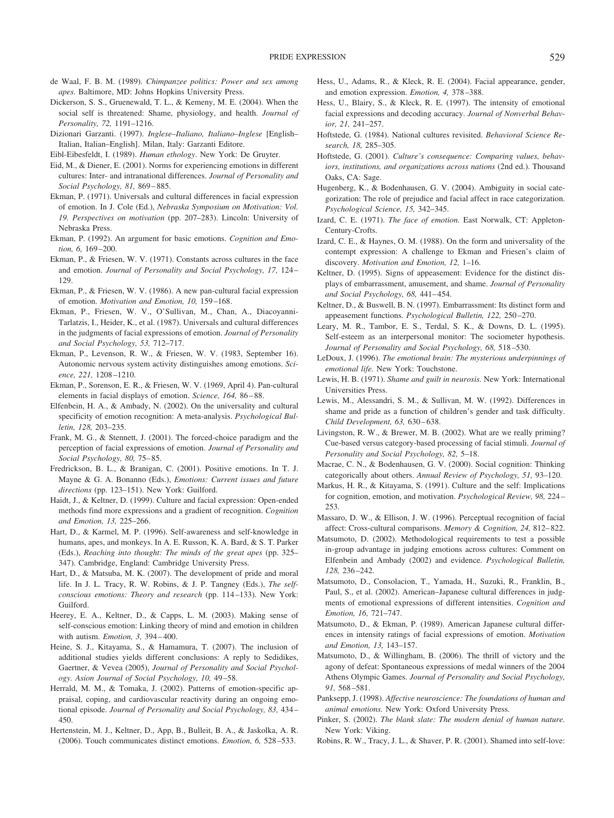- de Waal, F. B. M. (1989). *Chimpanzee politics: Power and sex among apes.* Baltimore, MD: Johns Hopkins University Press.
- Dickerson, S. S., Gruenewald, T. L., & Kemeny, M. E. (2004). When the social self is threatened: Shame, physiology, and health. *Journal of Personality, 72,* 1191–1216.
- Dizionari Garzanti. (1997). *Inglese–Italiano, Italiano–Inglese* [English– Italian, Italian–English]. Milan, Italy: Garzanti Editore.
- Eibl-Eibesfeldt, I. (1989). *Human ethology*. New York: De Gruyter.
- Eid, M., & Diener, E. (2001). Norms for experiencing emotions in different cultures: Inter- and intranational differences. *Journal of Personality and Social Psychology, 81,* 869 – 885.
- Ekman, P. (1971). Universals and cultural differences in facial expression of emotion. In J. Cole (Ed.), *Nebraska Symposium on Motivation: Vol. 19. Perspectives on motivation* (pp. 207–283). Lincoln: University of Nebraska Press.
- Ekman, P. (1992). An argument for basic emotions. *Cognition and Emotion, 6,* 169 –200.
- Ekman, P., & Friesen, W. V. (1971). Constants across cultures in the face and emotion. *Journal of Personality and Social Psychology, 17,* 124 – 129.
- Ekman, P., & Friesen, W. V. (1986). A new pan-cultural facial expression of emotion. *Motivation and Emotion, 10,* 159 –168.
- Ekman, P., Friesen, W. V., O'Sullivan, M., Chan, A., Diacoyanni-Tarlatzis, I., Heider, K., et al. (1987). Universals and cultural differences in the judgments of facial expressions of emotion. *Journal of Personality and Social Psychology, 53,* 712–717.
- Ekman, P., Levenson, R. W., & Friesen, W. V. (1983, September 16). Autonomic nervous system activity distinguishes among emotions. *Science, 221,* 1208 –1210.
- Ekman, P., Sorenson, E. R., & Friesen, W. V. (1969, April 4). Pan-cultural elements in facial displays of emotion. *Science*, 164, 86–88.
- Elfenbein, H. A., & Ambady, N. (2002). On the universality and cultural specificity of emotion recognition: A meta-analysis. *Psychological Bulletin, 128,* 203–235.
- Frank, M. G., & Stennett, J. (2001). The forced-choice paradigm and the perception of facial expressions of emotion. *Journal of Personality and Social Psychology, 80,* 75– 85.
- Fredrickson, B. L., & Branigan, C. (2001). Positive emotions. In T. J. Mayne & G. A. Bonanno (Eds.), *Emotions: Current issues and future directions* (pp. 123–151). New York: Guilford.
- Haidt, J., & Keltner, D. (1999). Culture and facial expression: Open-ended methods find more expressions and a gradient of recognition. *Cognition and Emotion, 13,* 225–266.
- Hart, D., & Karmel, M. P. (1996). Self-awareness and self-knowledge in humans, apes, and monkeys. In A. E. Russon, K. A. Bard, & S. T. Parker (Eds.), *Reaching into thought: The minds of the great apes* (pp. 325– 347). Cambridge, England: Cambridge University Press.
- Hart, D., & Matsuba, M. K. (2007). The development of pride and moral life. In J. L. Tracy, R. W. Robins, & J. P. Tangney (Eds.), *The selfconscious emotions: Theory and research* (pp. 114 –133). New York: Guilford.
- Heerey, E. A., Keltner, D., & Capps, L. M. (2003). Making sense of self-conscious emotion: Linking theory of mind and emotion in children with autism. *Emotion, 3,* 394 – 400.
- Heine, S. J., Kitayama, S., & Hamamura, T. (2007). The inclusion of additional studies yields different conclusions: A reply to Sedidikes, Gaertner, & Vevea (2005), *Journal of Personality and Social Psychology. Asion Journal of Social Psychology, 10,* 49 –58.
- Herrald, M. M., & Tomaka, J. (2002). Patterns of emotion-specific appraisal, coping, and cardiovascular reactivity during an ongoing emotional episode. *Journal of Personality and Social Psychology, 83,* 434 – 450.
- Hertenstein, M. J., Keltner, D., App, B., Bulleit, B. A., & Jaskolka, A. R. (2006). Touch communicates distinct emotions. *Emotion, 6,* 528 –533.
- Hess, U., Adams, R., & Kleck, R. E. (2004). Facial appearance, gender, and emotion expression. *Emotion, 4,* 378 –388.
- Hess, U., Blairy, S., & Kleck, R. E. (1997). The intensity of emotional facial expressions and decoding accuracy. *Journal of Nonverbal Behavior, 21,* 241–257.
- Hoftstede, G. (1984). National cultures revisited. *Behavioral Science Research, 18,* 285–305.
- Hoftstede, G. (2001). *Culture's consequence: Comparing values, behaviors, institutions, and organizations across nations* (2nd ed.). Thousand Oaks, CA: Sage.
- Hugenberg, K., & Bodenhausen, G. V. (2004). Ambiguity in social categorization: The role of prejudice and facial affect in race categorization. *Psychological Science, 15,* 342–345.
- Izard, C. E. (1971). *The face of emotion.* East Norwalk, CT: Appleton-Century-Crofts.
- Izard, C. E., & Haynes, O. M. (1988). On the form and universality of the contempt expression: A challenge to Ekman and Friesen's claim of discovery. *Motivation and Emotion, 12,* 1–16.
- Keltner, D. (1995). Signs of appeasement: Evidence for the distinct displays of embarrassment, amusement, and shame. *Journal of Personality and Social Psychology, 68,* 441– 454.
- Keltner, D., & Buswell, B. N. (1997). Embarrassment: Its distinct form and appeasement functions. *Psychological Bulletin, 122,* 250 –270.
- Leary, M. R., Tambor, E. S., Terdal, S. K., & Downs, D. L. (1995). Self-esteem as an interpersonal monitor: The sociometer hypothesis. *Journal of Personality and Social Psychology, 68,* 518 –530.
- LeDoux, J. (1996). *The emotional brain: The mysterious underpinnings of emotional life.* New York: Touchstone.
- Lewis, H. B. (1971). *Shame and guilt in neurosis.* New York: International Universities Press.
- Lewis, M., Alessandri, S. M., & Sullivan, M. W. (1992). Differences in shame and pride as a function of children's gender and task difficulty. *Child Development, 63,* 630 – 638.
- Livingston, R. W., & Brewer, M. B. (2002). What are we really priming? Cue-based versus category-based processing of facial stimuli. *Journal of Personality and Social Psychology, 82,* 5–18.
- Macrae, C. N., & Bodenhausen, G. V. (2000). Social cognition: Thinking categorically about others. *Annual Review of Psychology, 51,* 93–120.
- Markus, H. R., & Kitayama, S. (1991). Culture and the self: Implications for cognition, emotion, and motivation. *Psychological Review, 98,* 224 – 253.
- Massaro, D. W., & Ellison, J. W. (1996). Perceptual recognition of facial affect: Cross-cultural comparisons. *Memory & Cognition, 24,* 812– 822.
- Matsumoto, D. (2002). Methodological requirements to test a possible in-group advantage in judging emotions across cultures: Comment on Elfenbein and Ambady (2002) and evidence. *Psychological Bulletin, 128,* 236 –242.
- Matsumoto, D., Consolacion, T., Yamada, H., Suzuki, R., Franklin, B., Paul, S., et al. (2002). American–Japanese cultural differences in judgments of emotional expressions of different intensities. *Cognition and Emotion, 16,* 721–747.
- Matsumoto, D., & Ekman, P. (1989). American Japanese cultural differences in intensity ratings of facial expressions of emotion. *Motivation and Emotion, 13,* 143–157.
- Matsumoto, D., & Willingham, B. (2006). The thrill of victory and the agony of defeat: Spontaneous expressions of medal winners of the 2004 Athens Olympic Games. *Journal of Personality and Social Psychology, 91,* 568 –581.
- Panksepp, J. (1998). *Affective neuroscience: The foundations of human and animal emotions.* New York: Oxford University Press.
- Pinker, S. (2002). *The blank slate: The modern denial of human nature.* New York: Viking.
- Robins, R. W., Tracy, J. L., & Shaver, P. R. (2001). Shamed into self-love: